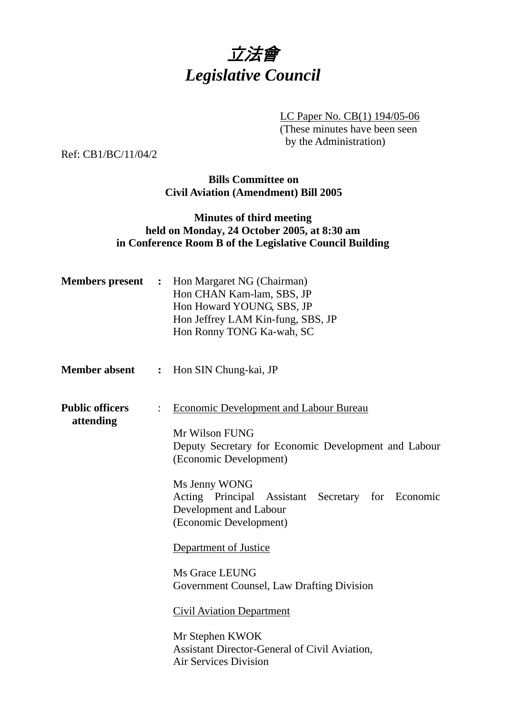

LC Paper No. CB(1) 194/05-06

(These minutes have been seen by the Administration)

Ref: CB1/BC/11/04/2

# **Bills Committee on Civil Aviation (Amendment) Bill 2005**

# **Minutes of third meeting held on Monday, 24 October 2005, at 8:30 am in Conference Room B of the Legislative Council Building**

| <b>Members</b> present              | $\ddot{\cdot}$   | Hon Margaret NG (Chairman)<br>Hon CHAN Kam-lam, SBS, JP<br>Hon Howard YOUNG, SBS, JP<br>Hon Jeffrey LAM Kin-fung, SBS, JP<br>Hon Ronny TONG Ka-wah, SC                                                                                                                                                                                                                                                                                                                                                      |
|-------------------------------------|------------------|-------------------------------------------------------------------------------------------------------------------------------------------------------------------------------------------------------------------------------------------------------------------------------------------------------------------------------------------------------------------------------------------------------------------------------------------------------------------------------------------------------------|
| <b>Member absent</b>                | $\ddot{\bullet}$ | Hon SIN Chung-kai, JP                                                                                                                                                                                                                                                                                                                                                                                                                                                                                       |
| <b>Public officers</b><br>attending |                  | <b>Economic Development and Labour Bureau</b><br>Mr Wilson FUNG<br>Deputy Secretary for Economic Development and Labour<br>(Economic Development)<br>Ms Jenny WONG<br>Acting Principal Assistant Secretary for Economic<br>Development and Labour<br>(Economic Development)<br>Department of Justice<br>Ms Grace LEUNG<br>Government Counsel, Law Drafting Division<br><b>Civil Aviation Department</b><br>Mr Stephen KWOK<br>Assistant Director-General of Civil Aviation,<br><b>Air Services Division</b> |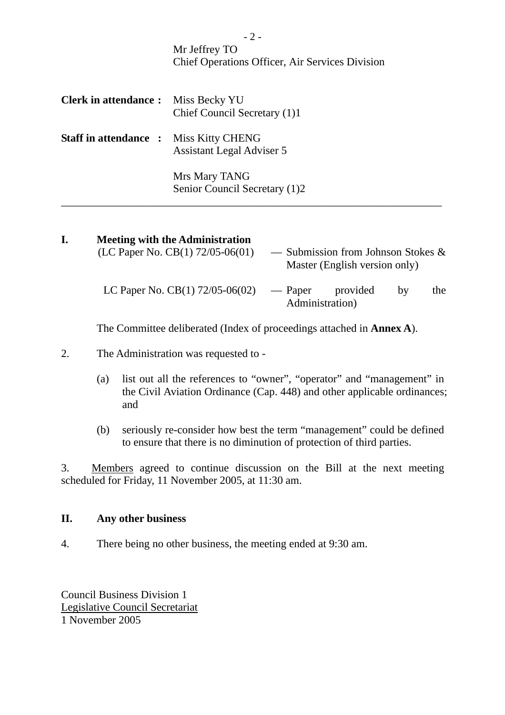|                                               | $-$ / $-$<br>Mr Jeffrey TO<br><b>Chief Operations Officer, Air Services Division</b> |
|-----------------------------------------------|--------------------------------------------------------------------------------------|
| <b>Clerk in attendance:</b>                   | Miss Becky YU<br>Chief Council Secretary (1)1                                        |
| <b>Staff in attendance : Miss Kitty CHENG</b> | Assistant Legal Adviser 5                                                            |
|                                               | Mrs Mary TANG<br>Senior Council Secretary (1)2                                       |

| I. | <b>Meeting with the Administration</b><br>(LC Paper No. CB $(1)$ 72/05-06 $(01)$ ) |                            | — Submission from Johnson Stokes $\&$<br>Master (English version only) |    |     |
|----|------------------------------------------------------------------------------------|----------------------------|------------------------------------------------------------------------|----|-----|
|    | LC Paper No. CB $(1)$ 72/05-06 $(02)$                                              | — Paper<br>Administration) | provided                                                               | by | the |

The Committee deliberated (Index of proceedings attached in **Annex A**).

- 2. The Administration was requested to
	- (a) list out all the references to "owner", "operator" and "management" in the Civil Aviation Ordinance (Cap. 448) and other applicable ordinances; and
	- (b) seriously re-consider how best the term "management" could be defined to ensure that there is no diminution of protection of third parties.

3. Members agreed to continue discussion on the Bill at the next meeting scheduled for Friday, 11 November 2005, at 11:30 am.

### **II. Any other business**

4. There being no other business, the meeting ended at 9:30 am.

Council Business Division 1 Legislative Council Secretariat 1 November 2005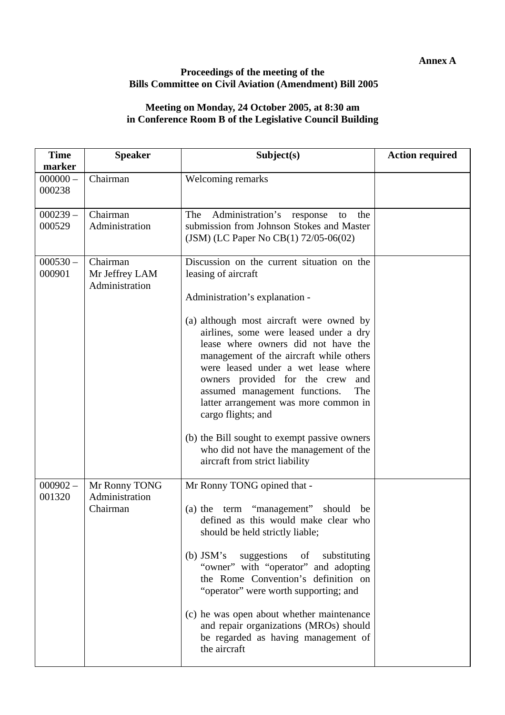**Annex A** 

### **Proceedings of the meeting of the Bills Committee on Civil Aviation (Amendment) Bill 2005**

#### **Meeting on Monday, 24 October 2005, at 8:30 am in Conference Room B of the Legislative Council Building**

| <b>Time</b><br>marker | <b>Speaker</b>                               | Subject(s)                                                                                                                                                                                                                                                                                                                                                                                                                                                                                                                                                                                   | <b>Action required</b> |
|-----------------------|----------------------------------------------|----------------------------------------------------------------------------------------------------------------------------------------------------------------------------------------------------------------------------------------------------------------------------------------------------------------------------------------------------------------------------------------------------------------------------------------------------------------------------------------------------------------------------------------------------------------------------------------------|------------------------|
| $000000 -$<br>000238  | Chairman                                     | Welcoming remarks                                                                                                                                                                                                                                                                                                                                                                                                                                                                                                                                                                            |                        |
| $000239 -$<br>000529  | Chairman<br>Administration                   | Administration's<br>The<br>response<br>the<br>to<br>submission from Johnson Stokes and Master<br>(JSM) (LC Paper No CB(1) 72/05-06(02)                                                                                                                                                                                                                                                                                                                                                                                                                                                       |                        |
| $000530 -$<br>000901  | Chairman<br>Mr Jeffrey LAM<br>Administration | Discussion on the current situation on the<br>leasing of aircraft<br>Administration's explanation -<br>(a) although most aircraft were owned by<br>airlines, some were leased under a dry<br>lease where owners did not have the<br>management of the aircraft while others<br>were leased under a wet lease where<br>owners provided for the crew<br>and<br>assumed management functions.<br>The<br>latter arrangement was more common in<br>cargo flights; and<br>(b) the Bill sought to exempt passive owners<br>who did not have the management of the<br>aircraft from strict liability |                        |
| $000902 -$<br>001320  | Mr Ronny TONG<br>Administration<br>Chairman  | Mr Ronny TONG opined that -<br>(a) the term "management" should<br>be<br>defined as this would make clear who<br>should be held strictly liable;<br>(b) $JSM's$<br>suggestions<br>substituting<br>of<br>"owner" with "operator" and adopting<br>the Rome Convention's definition on<br>"operator" were worth supporting; and<br>(c) he was open about whether maintenance<br>and repair organizations (MROs) should<br>be regarded as having management of<br>the aircraft                                                                                                                   |                        |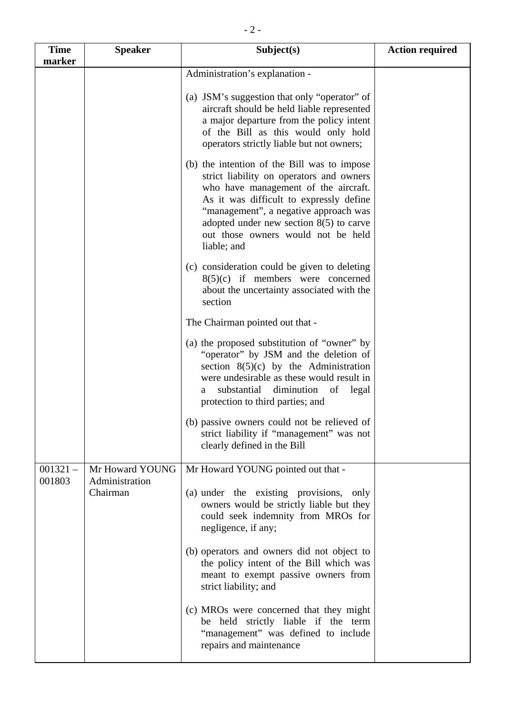| <b>Time</b><br>marker | <b>Speaker</b>                    | Subject(s)                                                                                                                                                                                                                                                                                                            | <b>Action required</b> |
|-----------------------|-----------------------------------|-----------------------------------------------------------------------------------------------------------------------------------------------------------------------------------------------------------------------------------------------------------------------------------------------------------------------|------------------------|
|                       |                                   | Administration's explanation -                                                                                                                                                                                                                                                                                        |                        |
|                       |                                   | (a) JSM's suggestion that only "operator" of<br>aircraft should be held liable represented<br>a major departure from the policy intent<br>of the Bill as this would only hold<br>operators strictly liable but not owners;                                                                                            |                        |
|                       |                                   | (b) the intention of the Bill was to impose<br>strict liability on operators and owners<br>who have management of the aircraft.<br>As it was difficult to expressly define<br>"management", a negative approach was<br>adopted under new section $8(5)$ to carve<br>out those owners would not be held<br>liable; and |                        |
|                       |                                   | (c) consideration could be given to deleting<br>$8(5)(c)$ if members were concerned<br>about the uncertainty associated with the<br>section                                                                                                                                                                           |                        |
|                       |                                   | The Chairman pointed out that -                                                                                                                                                                                                                                                                                       |                        |
|                       |                                   | (a) the proposed substitution of "owner" by<br>"operator" by JSM and the deletion of<br>section $8(5)(c)$ by the Administration<br>were undesirable as these would result in<br>substantial<br>diminution<br>of legal<br>a<br>protection to third parties; and                                                        |                        |
|                       |                                   | (b) passive owners could not be relieved of<br>strict liability if "management" was not<br>clearly defined in the Bill                                                                                                                                                                                                |                        |
| $001321 -$<br>001803  | Mr Howard YOUNG<br>Administration | Mr Howard YOUNG pointed out that -                                                                                                                                                                                                                                                                                    |                        |
|                       | Chairman                          | (a) under the existing provisions, only<br>owners would be strictly liable but they<br>could seek indemnity from MROs for<br>negligence, if any;                                                                                                                                                                      |                        |
|                       |                                   | (b) operators and owners did not object to<br>the policy intent of the Bill which was<br>meant to exempt passive owners from<br>strict liability; and                                                                                                                                                                 |                        |
|                       |                                   | (c) MROs were concerned that they might<br>be held strictly liable if the term<br>"management" was defined to include<br>repairs and maintenance                                                                                                                                                                      |                        |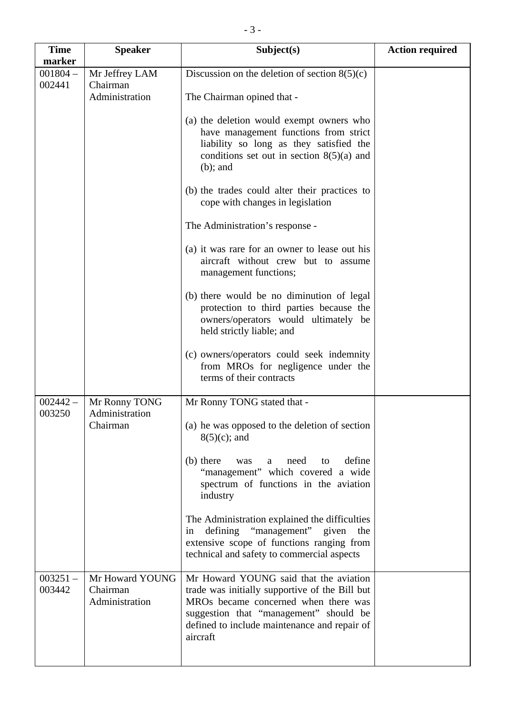| <b>Time</b><br>marker | <b>Speaker</b>                                | Subject(s)                                                                                                                                                                                                                             | <b>Action required</b> |
|-----------------------|-----------------------------------------------|----------------------------------------------------------------------------------------------------------------------------------------------------------------------------------------------------------------------------------------|------------------------|
| $001804 -$<br>002441  | Mr Jeffrey LAM<br>Chairman<br>Administration  | Discussion on the deletion of section $8(5)(c)$<br>The Chairman opined that -<br>(a) the deletion would exempt owners who<br>have management functions from strict                                                                     |                        |
|                       |                                               | liability so long as they satisfied the<br>conditions set out in section $8(5)(a)$ and<br>$(b)$ ; and<br>(b) the trades could alter their practices to                                                                                 |                        |
|                       |                                               | cope with changes in legislation                                                                                                                                                                                                       |                        |
|                       |                                               | The Administration's response -                                                                                                                                                                                                        |                        |
|                       |                                               | (a) it was rare for an owner to lease out his<br>aircraft without crew but to assume<br>management functions;                                                                                                                          |                        |
|                       |                                               | (b) there would be no diminution of legal<br>protection to third parties because the<br>owners/operators would ultimately be<br>held strictly liable; and                                                                              |                        |
|                       |                                               | (c) owners/operators could seek indemnity<br>from MROs for negligence under the<br>terms of their contracts                                                                                                                            |                        |
| $002442 -$<br>003250  | Mr Ronny TONG<br>Administration               | Mr Ronny TONG stated that -                                                                                                                                                                                                            |                        |
|                       | Chairman                                      | (a) he was opposed to the deletion of section<br>$8(5)(c)$ ; and                                                                                                                                                                       |                        |
|                       |                                               | define<br>(b) there<br>need<br>was<br>to<br>a<br>"management" which covered a wide<br>spectrum of functions in the aviation<br>industry                                                                                                |                        |
|                       |                                               | The Administration explained the difficulties<br>defining "management" given<br>the<br>in<br>extensive scope of functions ranging from<br>technical and safety to commercial aspects                                                   |                        |
| $003251 -$<br>003442  | Mr Howard YOUNG<br>Chairman<br>Administration | Mr Howard YOUNG said that the aviation<br>trade was initially supportive of the Bill but<br>MROs became concerned when there was<br>suggestion that "management" should be<br>defined to include maintenance and repair of<br>aircraft |                        |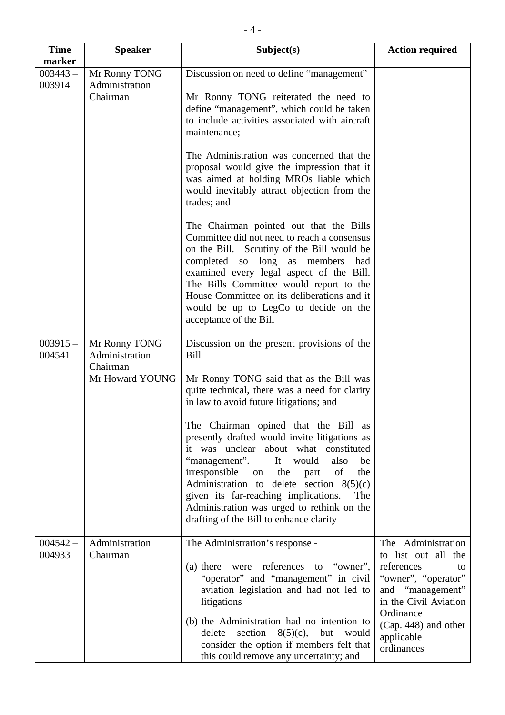| <b>Time</b><br>marker | <b>Speaker</b>                                                 | Subject(s)                                                                                                                                                                                                                                                                                                                                                                                                                                                                                                                                                                                                          | <b>Action required</b>                                                                                                                                                                               |
|-----------------------|----------------------------------------------------------------|---------------------------------------------------------------------------------------------------------------------------------------------------------------------------------------------------------------------------------------------------------------------------------------------------------------------------------------------------------------------------------------------------------------------------------------------------------------------------------------------------------------------------------------------------------------------------------------------------------------------|------------------------------------------------------------------------------------------------------------------------------------------------------------------------------------------------------|
| $003443 -$<br>003914  | Mr Ronny TONG<br>Administration<br>Chairman                    | Discussion on need to define "management"<br>Mr Ronny TONG reiterated the need to<br>define "management", which could be taken<br>to include activities associated with aircraft<br>maintenance;                                                                                                                                                                                                                                                                                                                                                                                                                    |                                                                                                                                                                                                      |
|                       |                                                                | The Administration was concerned that the<br>proposal would give the impression that it<br>was aimed at holding MROs liable which<br>would inevitably attract objection from the<br>trades; and                                                                                                                                                                                                                                                                                                                                                                                                                     |                                                                                                                                                                                                      |
|                       |                                                                | The Chairman pointed out that the Bills<br>Committee did not need to reach a consensus<br>on the Bill. Scrutiny of the Bill would be<br>completed so<br>long as<br>members<br>had<br>examined every legal aspect of the Bill.<br>The Bills Committee would report to the<br>House Committee on its deliberations and it<br>would be up to LegCo to decide on the<br>acceptance of the Bill                                                                                                                                                                                                                          |                                                                                                                                                                                                      |
| $003915 -$<br>004541  | Mr Ronny TONG<br>Administration<br>Chairman<br>Mr Howard YOUNG | Discussion on the present provisions of the<br>Bill<br>Mr Ronny TONG said that as the Bill was<br>quite technical, there was a need for clarity<br>in law to avoid future litigations; and<br>The Chairman opined that the Bill as<br>presently drafted would invite litigations as<br>it was unclear about what constituted<br>"management".<br>It<br>would<br>also<br>be<br>of<br>irresponsible<br>the<br>the<br>on<br>part<br>Administration to delete section $8(5)(c)$<br>given its far-reaching implications.<br>The<br>Administration was urged to rethink on the<br>drafting of the Bill to enhance clarity |                                                                                                                                                                                                      |
| $004542 -$<br>004933  | Administration<br>Chairman                                     | The Administration's response -<br>(a) there were references<br>to "owner",<br>"operator" and "management" in civil<br>aviation legislation and had not led to<br>litigations<br>(b) the Administration had no intention to<br>section<br>$8(5)(c)$ ,<br>delete<br>but<br>would<br>consider the option if members felt that<br>this could remove any uncertainty; and                                                                                                                                                                                                                                               | The Administration<br>to list out all the<br>references<br>to<br>"owner", "operator"<br>and "management"<br>in the Civil Aviation<br>Ordinance<br>$(Cap. 448)$ and other<br>applicable<br>ordinances |